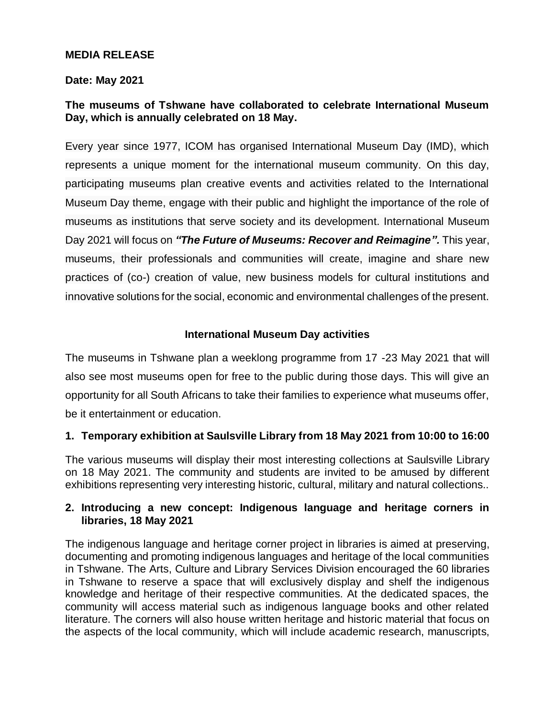## **MEDIA RELEASE**

#### **Date: May 2021**

# **The museums of Tshwane have collaborated to celebrate International Museum Day, which is annually celebrated on 18 May.**

Every year since 1977, ICOM has organised International Museum Day (IMD), which represents a unique moment for the international museum community. On this day, participating museums plan creative events and activities related to the International Museum Day theme, engage with their public and highlight the importance of the role of museums as institutions that serve society and its development. International Museum Day 2021 will focus on *"The Future of Museums: Recover and Reimagine".* This year, museums, their professionals and communities will create, imagine and share new practices of (co-) creation of value, new business models for cultural institutions and innovative solutions for the social, economic and environmental challenges of the present.

#### **International Museum Day activities**

The museums in Tshwane plan a weeklong programme from 17 -23 May 2021 that will also see most museums open for free to the public during those days. This will give an opportunity for all South Africans to take their families to experience what museums offer, be it entertainment or education.

## **1. Temporary exhibition at Saulsville Library from 18 May 2021 from 10:00 to 16:00**

The various museums will display their most interesting collections at Saulsville Library on 18 May 2021. The community and students are invited to be amused by different exhibitions representing very interesting historic, cultural, military and natural collections..

## **2. Introducing a new concept: Indigenous language and heritage corners in libraries, 18 May 2021**

The indigenous language and heritage corner project in libraries is aimed at preserving, documenting and promoting indigenous languages and heritage of the local communities in Tshwane. The Arts, Culture and Library Services Division encouraged the 60 libraries in Tshwane to reserve a space that will exclusively display and shelf the indigenous knowledge and heritage of their respective communities. At the dedicated spaces, the community will access material such as indigenous language books and other related literature. The corners will also house written heritage and historic material that focus on the aspects of the local community, which will include academic research, manuscripts,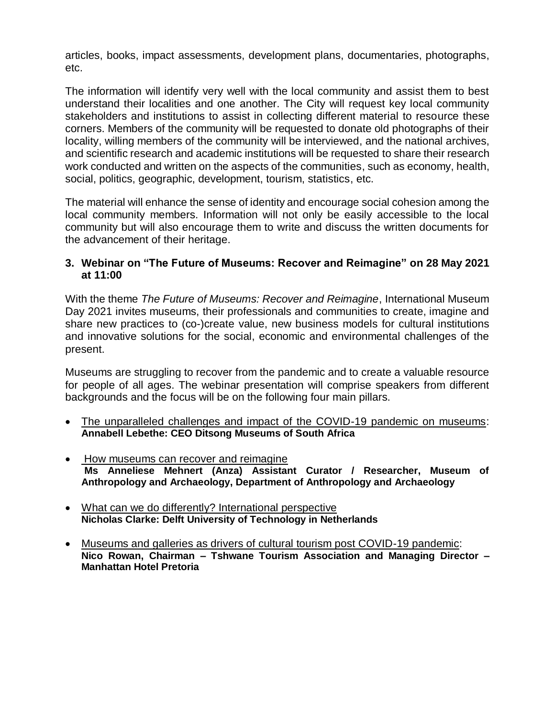articles, books, impact assessments, development plans, documentaries, photographs, etc.

The information will identify very well with the local community and assist them to best understand their localities and one another. The City will request key local community stakeholders and institutions to assist in collecting different material to resource these corners. Members of the community will be requested to donate old photographs of their locality, willing members of the community will be interviewed, and the national archives, and scientific research and academic institutions will be requested to share their research work conducted and written on the aspects of the communities, such as economy, health, social, politics, geographic, development, tourism, statistics, etc.

The material will enhance the sense of identity and encourage social cohesion among the local community members. Information will not only be easily accessible to the local community but will also encourage them to write and discuss the written documents for the advancement of their heritage.

## **3. Webinar on "The Future of Museums: Recover and Reimagine" on 28 May 2021 at 11:00**

With the theme *The Future of Museums: Recover and Reimagine*, International Museum Day 2021 invites museums, their professionals and communities to create, imagine and share new practices to (co-)create value, new business models for cultural institutions and innovative solutions for the social, economic and environmental challenges of the present.

Museums are struggling to recover from the pandemic and to create a valuable resource for people of all ages. The webinar presentation will comprise speakers from different backgrounds and the focus will be on the following four main pillars.

- The unparalleled challenges and impact of the COVID-19 pandemic on museums: **Annabell Lebethe: CEO Ditsong Museums of South Africa**
- How museums can recover and reimagine **Ms Anneliese Mehnert (Anza) Assistant Curator / Researcher, Museum of Anthropology and Archaeology, Department of Anthropology and Archaeology**
- What can we do differently? International perspective **Nicholas Clarke: Delft University of Technology in Netherlands**
- Museums and galleries as drivers of cultural tourism post COVID-19 pandemic: **Nico Rowan, Chairman – Tshwane Tourism Association and Managing Director – Manhattan Hotel Pretoria**